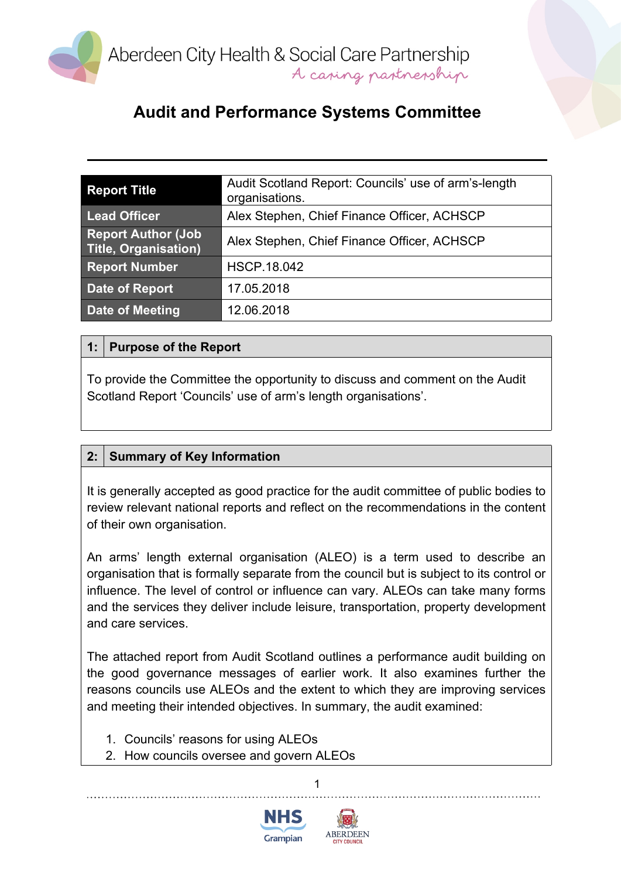

# **Audit and Performance Systems Committee**

| <b>Report Title</b>                                      | Audit Scotland Report: Councils' use of arm's-length<br>organisations. |
|----------------------------------------------------------|------------------------------------------------------------------------|
| <b>Lead Officer</b>                                      | Alex Stephen, Chief Finance Officer, ACHSCP                            |
| <b>Report Author (Job</b><br><b>Title, Organisation)</b> | Alex Stephen, Chief Finance Officer, ACHSCP                            |
| <b>Report Number</b>                                     | <b>HSCP.18.042</b>                                                     |
| <b>Date of Report</b>                                    | 17.05.2018                                                             |
| <b>Date of Meeting</b>                                   | 12.06.2018                                                             |

#### **1: Purpose of the Report**

To provide the Committee the opportunity to discuss and comment on the Audit Scotland Report 'Councils' use of arm's length organisations'.

#### **2: Summary of Key Information**

It is generally accepted as good practice for the audit committee of public bodies to review relevant national reports and reflect on the recommendations in the content of their own organisation.

An arms' length external organisation (ALEO) is a term used to describe an organisation that is formally separate from the council but is subject to its control or influence. The level of control or influence can vary. ALEOs can take many forms and the services they deliver include leisure, transportation, property development and care services.

The attached report from Audit Scotland outlines a performance audit building on the good governance messages of earlier work. It also examines further the reasons councils use ALEOs and the extent to which they are improving services and meeting their intended objectives. In summary, the audit examined:

1

- 1. Councils' reasons for using ALEOs
- 2. How councils oversee and govern ALEOs